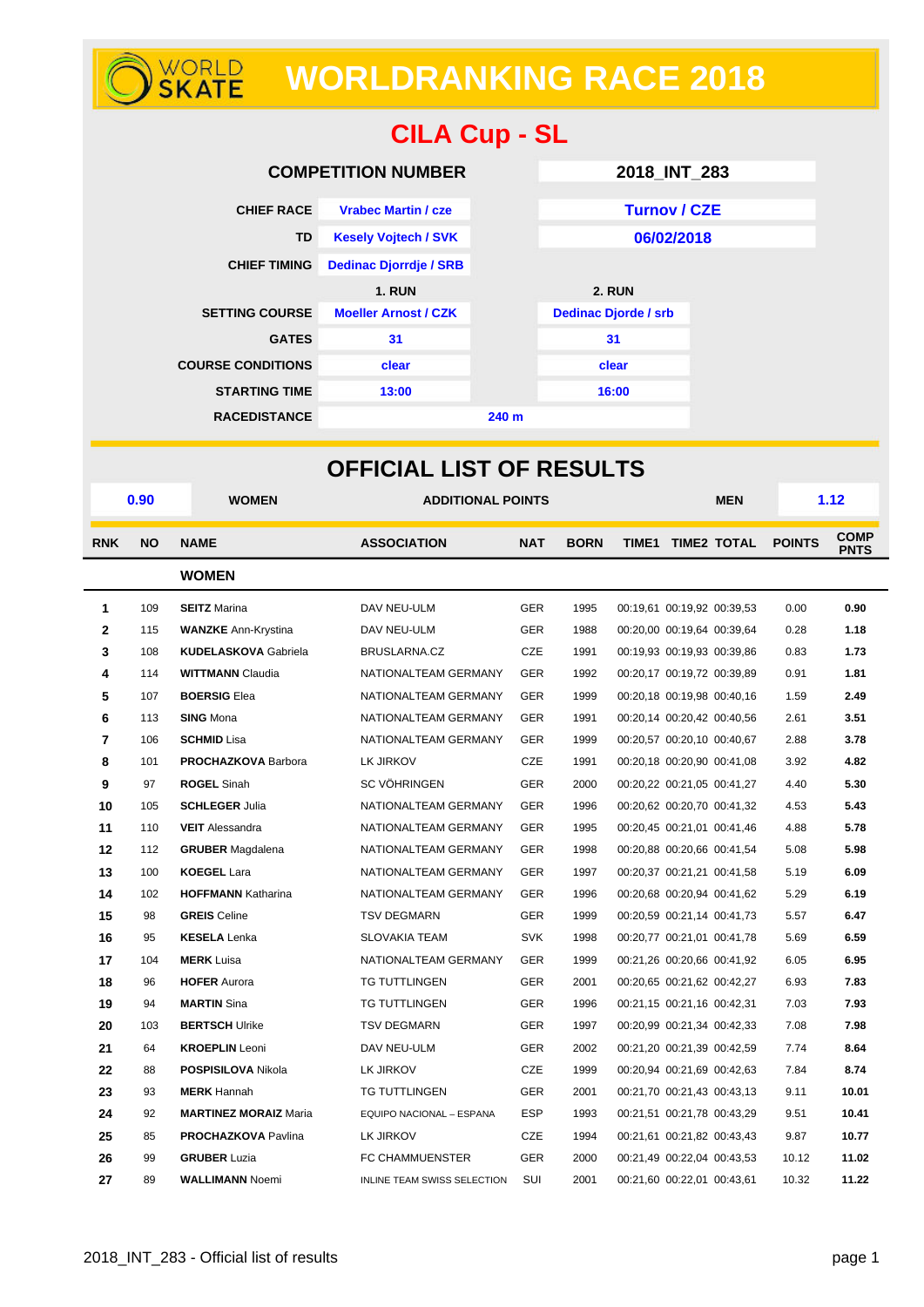# **WORLDRANKING RACE 2018**

| <b>CILA Cup - SL</b>                               |                                                           |                             |                                 |            |                             |                               |                            |            |               |                            |  |
|----------------------------------------------------|-----------------------------------------------------------|-----------------------------|---------------------------------|------------|-----------------------------|-------------------------------|----------------------------|------------|---------------|----------------------------|--|
|                                                    |                                                           |                             | <b>COMPETITION NUMBER</b>       |            |                             | 2018_INT_283                  |                            |            |               |                            |  |
| <b>CHIEF RACE</b>                                  |                                                           |                             | <b>Vrabec Martin / cze</b>      |            |                             |                               | <b>Turnov / CZE</b>        |            |               |                            |  |
|                                                    |                                                           | <b>TD</b>                   | <b>Kesely Vojtech / SVK</b>     |            |                             |                               | 06/02/2018                 |            |               |                            |  |
|                                                    |                                                           | <b>CHIEF TIMING</b>         | <b>Dedinac Djorrdje / SRB</b>   |            |                             |                               |                            |            |               |                            |  |
|                                                    |                                                           |                             | <b>1. RUN</b>                   |            |                             | <b>2. RUN</b>                 |                            |            |               |                            |  |
|                                                    |                                                           | <b>SETTING COURSE</b>       | <b>Moeller Arnost / CZK</b>     |            | <b>Dedinac Djorde / srb</b> |                               |                            |            |               |                            |  |
| <b>GATES</b>                                       |                                                           |                             | 31                              |            |                             | 31                            |                            |            |               |                            |  |
| <b>COURSE CONDITIONS</b>                           |                                                           |                             | clear                           | clear      |                             |                               |                            |            |               |                            |  |
| <b>STARTING TIME</b>                               |                                                           |                             | 13:00                           |            | 16:00                       |                               |                            |            |               |                            |  |
| <b>RACEDISTANCE</b>                                |                                                           |                             |                                 | 240 m      |                             |                               |                            |            |               |                            |  |
|                                                    |                                                           |                             |                                 |            |                             |                               |                            |            |               |                            |  |
|                                                    |                                                           |                             | <b>OFFICIAL LIST OF RESULTS</b> |            |                             |                               |                            |            |               |                            |  |
|                                                    | 0.90                                                      | <b>WOMEN</b>                | <b>ADDITIONAL POINTS</b>        |            |                             |                               |                            | <b>MEN</b> |               | 1.12                       |  |
| <b>RNK</b>                                         | <b>NO</b>                                                 | <b>NAME</b>                 | <b>ASSOCIATION</b>              | <b>NAT</b> | <b>BORN</b>                 |                               | TIME1 TIME2 TOTAL          |            | <b>POINTS</b> | <b>COMP</b><br><b>PNTS</b> |  |
|                                                    |                                                           | <b>WOMEN</b>                |                                 |            |                             |                               |                            |            |               |                            |  |
| 1                                                  | 109                                                       | <b>SEITZ Marina</b>         | DAV NEU-ULM                     | <b>GER</b> | 1995                        |                               | 00:19.61 00:19.92 00:39.53 |            | 0.00          | 0.90                       |  |
| $\mathbf{2}$                                       | 115                                                       | <b>WANZKE</b> Ann-Krystina  | DAV NEU-ULM                     | <b>GER</b> | 1988                        |                               | 00:20,00 00:19,64 00:39,64 |            | 0.28          | 1.18                       |  |
| 3                                                  | 108                                                       | <b>KUDELASKOVA Gabriela</b> | BRUSLARNA.CZ                    | CZE        | 1991                        | 00:19,93 00:19,93 00:39,86    |                            |            | 0.83          | 1.73                       |  |
| 4                                                  | 114                                                       | <b>WITTMANN Claudia</b>     | NATIONALTEAM GERMANY            | <b>GER</b> | 1992                        | 00:20,17 00:19,72 00:39,89    |                            |            | 0.91          | 1.81                       |  |
| 5                                                  | 107                                                       | <b>BOERSIG Elea</b>         | NATIONALTEAM GERMANY            | <b>GER</b> | 1999                        |                               | 00:20,18 00:19,98 00:40,16 |            | 1.59          | 2.49                       |  |
| 6                                                  | <b>SING Mona</b><br>113<br>7<br><b>SCHMID Lisa</b><br>106 |                             | NATIONALTEAM GERMANY            | <b>GER</b> | 1991                        | 00:20,14 00:20,42 00:40,56    |                            |            | 2.61          | 3.51                       |  |
|                                                    |                                                           |                             | NATIONALTEAM GERMANY            | <b>GER</b> | 1999                        |                               | 00:20,57 00:20,10 00:40,67 |            | 2.88          | 3.78                       |  |
| Ω<br><b>PROCHAZKOVA Rarbora</b><br>1 <sub>01</sub> |                                                           |                             | IK IIDKOV                       | C7F        | 1001                        | $00.2018$ $00.2090$ $00.4108$ |                            |            | רם ב          | $\overline{AB}$            |  |

| 4              | 114 | <b>WITTMANN Claudia</b>      | NATIONALTEAM GERMANY               | GER        | 1992 | 00:20.17 00:19.72 00:39.89 | 0.91  | 1.81  |
|----------------|-----|------------------------------|------------------------------------|------------|------|----------------------------|-------|-------|
| 5              | 107 | <b>BOERSIG Elea</b>          | NATIONALTEAM GERMANY               | <b>GER</b> | 1999 | 00:20.18 00:19.98 00:40.16 | 1.59  | 2.49  |
| 6              | 113 | <b>SING Mona</b>             | NATIONALTEAM GERMANY               | <b>GER</b> | 1991 | 00:20,14 00:20,42 00:40,56 | 2.61  | 3.51  |
| $\overline{7}$ | 106 | <b>SCHMID Lisa</b>           | NATIONALTEAM GERMANY               | <b>GER</b> | 1999 | 00:20,57 00:20,10 00:40,67 | 2.88  | 3.78  |
| 8              | 101 | <b>PROCHAZKOVA Barbora</b>   | LK JIRKOV                          | CZE        | 1991 | 00:20,18 00:20,90 00:41,08 | 3.92  | 4.82  |
| 9              | 97  | <b>ROGEL Sinah</b>           | <b>SC VÖHRINGEN</b>                | <b>GER</b> | 2000 | 00:20,22 00:21,05 00:41,27 | 4.40  | 5.30  |
| 10             | 105 | <b>SCHLEGER Julia</b>        | NATIONALTEAM GERMANY               | <b>GER</b> | 1996 | 00:20.62 00:20.70 00:41.32 | 4.53  | 5.43  |
| 11             | 110 | <b>VEIT</b> Alessandra       | NATIONALTEAM GERMANY               | <b>GER</b> | 1995 | 00:20,45 00:21,01 00:41,46 | 4.88  | 5.78  |
| 12             | 112 | <b>GRUBER</b> Magdalena      | NATIONALTEAM GERMANY               | <b>GER</b> | 1998 | 00:20.88 00:20.66 00:41.54 | 5.08  | 5.98  |
| 13             | 100 | <b>KOEGEL Lara</b>           | NATIONALTEAM GERMANY               | <b>GER</b> | 1997 | 00:20.37 00:21.21 00:41.58 | 5.19  | 6.09  |
| 14             | 102 | <b>HOFFMANN Katharina</b>    | NATIONALTEAM GERMANY               | <b>GER</b> | 1996 | 00:20.68 00:20.94 00:41.62 | 5.29  | 6.19  |
| 15             | 98  | <b>GREIS</b> Celine          | <b>TSV DEGMARN</b>                 | <b>GER</b> | 1999 | 00:20.59 00:21.14 00:41.73 | 5.57  | 6.47  |
| 16             | 95  | <b>KESELA</b> Lenka          | <b>SLOVAKIA TEAM</b>               | <b>SVK</b> | 1998 | 00:20,77 00:21,01 00:41,78 | 5.69  | 6.59  |
| 17             | 104 | <b>MERK</b> Luisa            | NATIONALTEAM GERMANY               | <b>GER</b> | 1999 | 00:21,26 00:20,66 00:41,92 | 6.05  | 6.95  |
| 18             | 96  | <b>HOFER Aurora</b>          | <b>TG TUTTLINGEN</b>               | <b>GER</b> | 2001 | 00:20.65 00:21.62 00:42.27 | 6.93  | 7.83  |
| 19             | 94  | <b>MARTIN Sina</b>           | <b>TG TUTTLINGEN</b>               | <b>GER</b> | 1996 | 00:21,15 00:21,16 00:42,31 | 7.03  | 7.93  |
| 20             | 103 | <b>BERTSCH Ulrike</b>        | <b>TSV DEGMARN</b>                 | <b>GER</b> | 1997 | 00:20.99 00:21.34 00:42.33 | 7.08  | 7.98  |
| 21             | 64  | <b>KROEPLIN</b> Leoni        | DAV NEU-ULM                        | <b>GER</b> | 2002 | 00:21,20 00:21,39 00:42,59 | 7.74  | 8.64  |
| 22             | 88  | POSPISILOVA Nikola           | LK JIRKOV                          | CZE        | 1999 | 00:20.94 00:21.69 00:42.63 | 7.84  | 8.74  |
| 23             | 93  | <b>MERK</b> Hannah           | <b>TG TUTTLINGEN</b>               | <b>GER</b> | 2001 | 00:21,70 00:21,43 00:43,13 | 9.11  | 10.01 |
| 24             | 92  | <b>MARTINEZ MORAIZ Maria</b> | EQUIPO NACIONAL - ESPANA           | <b>ESP</b> | 1993 | 00:21,51 00:21,78 00:43,29 | 9.51  | 10.41 |
| 25             | 85  | <b>PROCHAZKOVA Pavlina</b>   | LK JIRKOV                          | CZE        | 1994 | 00:21,61 00:21,82 00:43,43 | 9.87  | 10.77 |
| 26             | 99  | <b>GRUBER Luzia</b>          | FC CHAMMUENSTER                    | <b>GER</b> | 2000 | 00:21,49 00:22,04 00:43,53 | 10.12 | 11.02 |
| 27             | 89  | <b>WALLIMANN Noemi</b>       | <b>INLINE TEAM SWISS SELECTION</b> | SUI        | 2001 | 00:21,60 00:22,01 00:43,61 | 10.32 | 11.22 |

WORLD<br>**SKATE**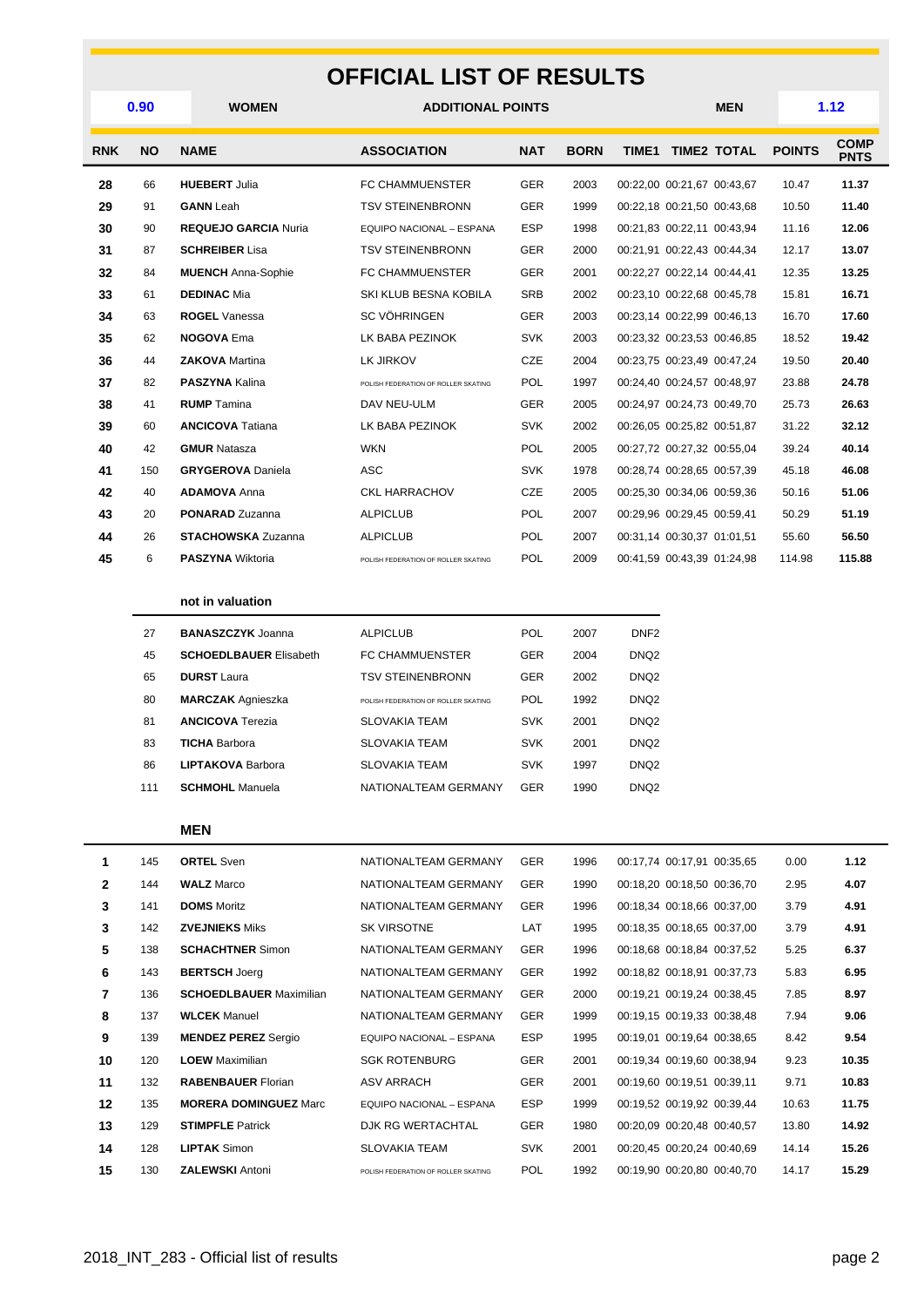### **OFFICIAL LIST OF RESULTS**

| 0.90       |           | <b>WOMEN</b>                | <b>ADDITIONAL POINTS</b>            |            |             |              |                            | <b>MEN</b>         |               | 1.12                       |
|------------|-----------|-----------------------------|-------------------------------------|------------|-------------|--------------|----------------------------|--------------------|---------------|----------------------------|
| <b>RNK</b> | <b>NO</b> | <b>NAME</b>                 | <b>ASSOCIATION</b>                  | <b>NAT</b> | <b>BORN</b> | <b>TIME1</b> |                            | <b>TIME2 TOTAL</b> | <b>POINTS</b> | <b>COMP</b><br><b>PNTS</b> |
| 28         | 66        | <b>HUEBERT Julia</b>        | FC CHAMMUENSTER                     | <b>GER</b> | 2003        |              | 00:22,00 00:21,67 00:43,67 |                    | 10.47         | 11.37                      |
| 29         | 91        | <b>GANN</b> Leah            | <b>TSV STEINENBRONN</b>             | <b>GER</b> | 1999        |              | 00:22,18 00:21,50 00:43,68 |                    | 10.50         | 11.40                      |
| 30         | 90        | <b>REQUEJO GARCIA Nuria</b> | EQUIPO NACIONAL - ESPANA            | <b>ESP</b> | 1998        |              | 00:21,83 00:22,11 00:43,94 |                    | 11.16         | 12.06                      |
| 31         | 87        | <b>SCHREIBER Lisa</b>       | <b>TSV STEINENBRONN</b>             | <b>GER</b> | 2000        |              | 00:21,91 00:22,43 00:44,34 |                    | 12.17         | 13.07                      |
| 32         | 84        | <b>MUENCH</b> Anna-Sophie   | FC CHAMMUENSTER                     | <b>GER</b> | 2001        |              | 00:22.27 00:22.14 00:44.41 |                    | 12.35         | 13.25                      |
| 33         | 61        | <b>DEDINAC Mia</b>          | SKI KLUB BESNA KOBILA               | <b>SRB</b> | 2002        |              | 00:23,10 00:22,68 00:45,78 |                    | 15.81         | 16.71                      |
| 34         | 63        | <b>ROGEL Vanessa</b>        | <b>SC VÖHRINGEN</b>                 | <b>GER</b> | 2003        |              | 00:23,14 00:22,99 00:46,13 |                    | 16.70         | 17.60                      |
| 35         | 62        | <b>NOGOVA Ema</b>           | LK BABA PEZINOK                     | <b>SVK</b> | 2003        |              | 00:23,32 00:23,53 00:46,85 |                    | 18.52         | 19.42                      |
| 36         | 44        | <b>ZAKOVA Martina</b>       | LK JIRKOV                           | <b>CZE</b> | 2004        |              | 00:23,75 00:23,49 00:47,24 |                    | 19.50         | 20.40                      |
| 37         | 82        | <b>PASZYNA Kalina</b>       | POLISH FEDERATION OF ROLLER SKATING | <b>POL</b> | 1997        |              | 00:24,40 00:24,57 00:48,97 |                    | 23.88         | 24.78                      |
| 38         | 41        | <b>RUMP</b> Tamina          | DAV NEU-ULM                         | <b>GER</b> | 2005        |              | 00:24.97 00:24.73 00:49.70 |                    | 25.73         | 26.63                      |
| 39         | 60        | <b>ANCICOVA Tatiana</b>     | LK BABA PEZINOK                     | <b>SVK</b> | 2002        |              | 00:26.05 00:25.82 00:51.87 |                    | 31.22         | 32.12                      |
| 40         | 42        | <b>GMUR Natasza</b>         | <b>WKN</b>                          | <b>POL</b> | 2005        |              | 00:27,72 00:27,32 00:55,04 |                    | 39.24         | 40.14                      |
| 41         | 150       | <b>GRYGEROVA Daniela</b>    | <b>ASC</b>                          | <b>SVK</b> | 1978        |              | 00:28,74 00:28,65 00:57,39 |                    | 45.18         | 46.08                      |
| 42         | 40        | <b>ADAMOVA Anna</b>         | <b>CKL HARRACHOV</b>                | CZE        | 2005        |              | 00:25,30 00:34,06 00:59,36 |                    | 50.16         | 51.06                      |
| 43         | 20        | <b>PONARAD Zuzanna</b>      | <b>ALPICLUB</b>                     | <b>POL</b> | 2007        |              | 00:29,96 00:29,45 00:59,41 |                    | 50.29         | 51.19                      |
| 44         | 26        | <b>STACHOWSKA Zuzanna</b>   | <b>ALPICLUB</b>                     | <b>POL</b> | 2007        |              | 00:31,14 00:30,37 01:01,51 |                    | 55.60         | 56.50                      |
| 45         | 6         | <b>PASZYNA Wiktoria</b>     | POLISH FEDERATION OF ROLLER SKATING | <b>POL</b> | 2009        |              | 00:41,59 00:43,39 01:24,98 |                    | 114.98        | 115.88                     |
|            |           |                             |                                     |            |             |              |                            |                    |               |                            |

#### **not in valuation**

| 27  | <b>BANASZCZYK Joanna</b>      | <b>ALPICLUB</b>                     | POL        | 2007 | DNF <sub>2</sub>  |
|-----|-------------------------------|-------------------------------------|------------|------|-------------------|
| 45  | <b>SCHOEDLBAUER Elisabeth</b> | <b>FC CHAMMUENSTER</b>              | <b>GER</b> | 2004 | DNQ <sub>2</sub>  |
| 65  | <b>DURST</b> Laura            | TSV STEINENBRONN                    | <b>GER</b> | 2002 | DNQ <sub>2</sub>  |
| 80  | <b>MARCZAK</b> Agnieszka      | POLISH FEDERATION OF ROLLER SKATING | POL        | 1992 | DNQ <sub>2</sub>  |
| 81  | <b>ANCICOVA</b> Terezia       | <b>SLOVAKIA TEAM</b>                | <b>SVK</b> | 2001 | DNQ <sub>2</sub>  |
| 83  | <b>TICHA Barbora</b>          | <b>SLOVAKIA TEAM</b>                | <b>SVK</b> | 2001 | DNQ <sub>2</sub>  |
| 86  | <b>LIPTAKOVA Barbora</b>      | <b>SLOVAKIA TEAM</b>                | <b>SVK</b> | 1997 | DNQ <sub>2</sub>  |
| 111 | <b>SCHMOHL</b> Manuela        | NATIONALTEAM GERMANY                | <b>GER</b> | 1990 | DN <sub>Q</sub> 2 |

#### **MEN**

| 1            | 145 | <b>ORTEL Sven</b>              | NATIONALTEAM GERMANY                | <b>GER</b> | 1996 | 00:17,74 00:17,91 00:35,65 | 0.00  | 1.12  |
|--------------|-----|--------------------------------|-------------------------------------|------------|------|----------------------------|-------|-------|
| $\mathbf{2}$ | 144 | <b>WALZ Marco</b>              | NATIONALTEAM GERMANY                | <b>GER</b> | 1990 | 00:18,20 00:18,50 00:36,70 | 2.95  | 4.07  |
| 3            | 141 | <b>DOMS</b> Moritz             | NATIONALTEAM GERMANY                | <b>GER</b> | 1996 | 00:18,34 00:18,66 00:37,00 | 3.79  | 4.91  |
| 3            | 142 | <b>ZVEJNIEKS Miks</b>          | <b>SK VIRSOTNE</b>                  | LAT        | 1995 | 00:18,35 00:18,65 00:37,00 | 3.79  | 4.91  |
| 5            | 138 | <b>SCHACHTNER Simon</b>        | NATIONALTEAM GERMANY                | <b>GER</b> | 1996 | 00:18,68 00:18,84 00:37,52 | 5.25  | 6.37  |
| 6            | 143 | <b>BERTSCH Joerg</b>           | NATIONALTEAM GERMANY                | <b>GER</b> | 1992 | 00:18,82 00:18,91 00:37,73 | 5.83  | 6.95  |
| 7            | 136 | <b>SCHOEDLBAUER Maximilian</b> | NATIONALTEAM GERMANY                | <b>GER</b> | 2000 | 00:19,21 00:19,24 00:38,45 | 7.85  | 8.97  |
| 8            | 137 | <b>WLCEK</b> Manuel            | NATIONALTEAM GERMANY                | <b>GER</b> | 1999 | 00:19,15 00:19,33 00:38,48 | 7.94  | 9.06  |
| 9            | 139 | <b>MENDEZ PEREZ Sergio</b>     | EQUIPO NACIONAL - ESPANA            | <b>ESP</b> | 1995 | 00:19,01 00:19,64 00:38,65 | 8.42  | 9.54  |
| 10           | 120 | <b>LOEW</b> Maximilian         | <b>SGK ROTENBURG</b>                | <b>GER</b> | 2001 | 00:19,34 00:19,60 00:38,94 | 9.23  | 10.35 |
| 11           | 132 | <b>RABENBAUER Florian</b>      | <b>ASV ARRACH</b>                   | <b>GER</b> | 2001 | 00:19,60 00:19,51 00:39,11 | 9.71  | 10.83 |
| 12           | 135 | <b>MORERA DOMINGUEZ Marc</b>   | EQUIPO NACIONAL - ESPANA            | <b>ESP</b> | 1999 | 00:19,52 00:19,92 00:39,44 | 10.63 | 11.75 |
| 13           | 129 | <b>STIMPFLE Patrick</b>        | DJK RG WERTACHTAL                   | <b>GER</b> | 1980 | 00:20,09 00:20,48 00:40,57 | 13.80 | 14.92 |
| 14           | 128 | <b>LIPTAK Simon</b>            | <b>SLOVAKIA TEAM</b>                | <b>SVK</b> | 2001 | 00:20,45 00:20,24 00:40,69 | 14.14 | 15.26 |
| 15           | 130 | <b>ZALEWSKI Antoni</b>         | POLISH FEDERATION OF ROLLER SKATING | <b>POL</b> | 1992 | 00:19,90 00:20,80 00:40,70 | 14.17 | 15.29 |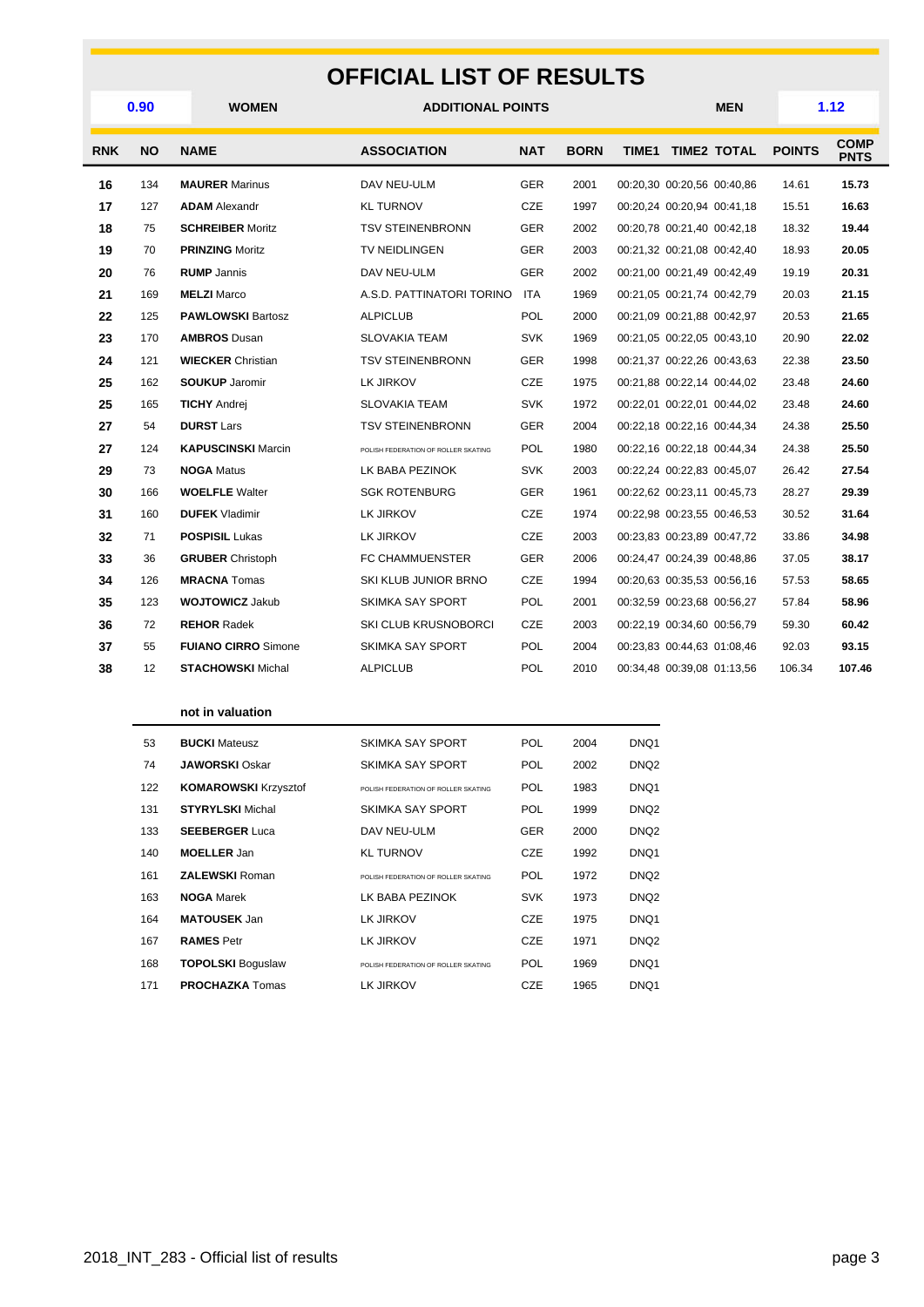### **OFFICIAL LIST OF RESULTS**

| 0.90       |           | <b>WOMEN</b>               | <b>ADDITIONAL POINTS</b>            |            |             |  | <b>MEN</b>                 |               | 1.12                       |
|------------|-----------|----------------------------|-------------------------------------|------------|-------------|--|----------------------------|---------------|----------------------------|
| <b>RNK</b> | <b>NO</b> | <b>NAME</b>                | <b>ASSOCIATION</b>                  | <b>NAT</b> | <b>BORN</b> |  | TIME1 TIME2 TOTAL          | <b>POINTS</b> | <b>COMP</b><br><b>PNTS</b> |
| 16         | 134       | <b>MAURER Marinus</b>      | DAV NEU-ULM                         | <b>GER</b> | 2001        |  | 00:20.30 00:20.56 00:40.86 | 14.61         | 15.73                      |
| 17         | 127       | <b>ADAM</b> Alexandr       | <b>KL TURNOV</b>                    | CZE        | 1997        |  | 00:20,24 00:20,94 00:41,18 | 15.51         | 16.63                      |
| 18         | 75        | <b>SCHREIBER Moritz</b>    | <b>TSV STEINENBRONN</b>             | <b>GER</b> | 2002        |  | 00:20,78 00:21,40 00:42,18 | 18.32         | 19.44                      |
| 19         | 70        | <b>PRINZING Moritz</b>     | TV NEIDLINGEN                       | <b>GER</b> | 2003        |  | 00:21,32 00:21,08 00:42,40 | 18.93         | 20.05                      |
| 20         | 76        | <b>RUMP</b> Jannis         | DAV NEU-ULM                         | <b>GER</b> | 2002        |  | 00:21,00 00:21,49 00:42,49 | 19.19         | 20.31                      |
| 21         | 169       | <b>MELZI</b> Marco         | A.S.D. PATTINATORI TORINO           | ITA        | 1969        |  | 00:21,05 00:21,74 00:42,79 | 20.03         | 21.15                      |
| 22         | 125       | <b>PAWLOWSKI Bartosz</b>   | <b>ALPICLUB</b>                     | <b>POL</b> | 2000        |  | 00:21,09 00:21,88 00:42,97 | 20.53         | 21.65                      |
| 23         | 170       | <b>AMBROS Dusan</b>        | <b>SLOVAKIA TEAM</b>                | <b>SVK</b> | 1969        |  | 00:21.05 00:22.05 00:43.10 | 20.90         | 22.02                      |
| 24         | 121       | <b>WIECKER Christian</b>   | <b>TSV STEINENBRONN</b>             | <b>GER</b> | 1998        |  | 00:21,37 00:22,26 00:43,63 | 22.38         | 23.50                      |
| 25         | 162       | <b>SOUKUP Jaromir</b>      | LK JIRKOV                           | CZE        | 1975        |  | 00:21,88 00:22,14 00:44,02 | 23.48         | 24.60                      |
| 25         | 165       | <b>TICHY Andrei</b>        | <b>SLOVAKIA TEAM</b>                | <b>SVK</b> | 1972        |  | 00:22,01 00:22,01 00:44,02 | 23.48         | 24.60                      |
| 27         | 54        | <b>DURST Lars</b>          | <b>TSV STEINENBRONN</b>             | <b>GER</b> | 2004        |  | 00:22,18 00:22,16 00:44,34 | 24.38         | 25.50                      |
| 27         | 124       | <b>KAPUSCINSKI</b> Marcin  | POLISH FEDERATION OF ROLLER SKATING | POL        | 1980        |  | 00:22,16 00:22,18 00:44,34 | 24.38         | 25.50                      |
| 29         | 73        | <b>NOGA Matus</b>          | LK BABA PEZINOK                     | SVK        | 2003        |  | 00:22,24 00:22,83 00:45,07 | 26.42         | 27.54                      |
| 30         | 166       | <b>WOELFLE Walter</b>      | <b>SGK ROTENBURG</b>                | <b>GER</b> | 1961        |  | 00:22,62 00:23,11 00:45,73 | 28.27         | 29.39                      |
| 31         | 160       | <b>DUFEK</b> Vladimir      | LK JIRKOV                           | CZE        | 1974        |  | 00:22,98 00:23,55 00:46,53 | 30.52         | 31.64                      |
| 32         | 71        | <b>POSPISIL Lukas</b>      | LK JIRKOV                           | CZE        | 2003        |  | 00:23,83 00:23,89 00:47,72 | 33.86         | 34.98                      |
| 33         | 36        | <b>GRUBER</b> Christoph    | FC CHAMMUENSTER                     | <b>GER</b> | 2006        |  | 00:24,47 00:24,39 00:48,86 | 37.05         | 38.17                      |
| 34         | 126       | <b>MRACNA</b> Tomas        | SKI KLUB JUNIOR BRNO                | CZE        | 1994        |  | 00:20.63 00:35.53 00:56.16 | 57.53         | 58.65                      |
| 35         | 123       | <b>WOJTOWICZ Jakub</b>     | <b>SKIMKA SAY SPORT</b>             | <b>POL</b> | 2001        |  | 00:32,59 00:23,68 00:56,27 | 57.84         | 58.96                      |
| 36         | 72        | <b>REHOR Radek</b>         | SKI CLUB KRUSNOBORCI                | CZE        | 2003        |  | 00:22,19 00:34,60 00:56,79 | 59.30         | 60.42                      |
| 37         | 55        | <b>FUIANO CIRRO Simone</b> | SKIMKA SAY SPORT                    | POL        | 2004        |  | 00:23,83 00:44,63 01:08,46 | 92.03         | 93.15                      |
| 38         | 12        | <b>STACHOWSKI</b> Michal   | <b>ALPICLUB</b>                     | POL        | 2010        |  | 00:34,48 00:39,08 01:13,56 | 106.34        | 107.46                     |
|            |           |                            |                                     |            |             |  |                            |               |                            |

#### **not in valuation**

| 53  | <b>BUCKI Mateusz</b>        | SKIMKA SAY SPORT                     | <b>POL</b> | 2004 | DNQ1             |
|-----|-----------------------------|--------------------------------------|------------|------|------------------|
| 74  | <b>JAWORSKI Oskar</b>       | SKIMKA SAY SPORT                     | <b>POL</b> | 2002 | DNQ <sub>2</sub> |
| 122 | <b>KOMAROWSKI Krzysztof</b> | POLISH FEDERATION OF ROLLER SKATING. | <b>POL</b> | 1983 | DNQ1             |
| 131 | <b>STYRYLSKI</b> Michal     | SKIMKA SAY SPORT                     | <b>POL</b> | 1999 | DNQ <sub>2</sub> |
| 133 | <b>SEEBERGER Luca</b>       | DAV NEU-ULM                          | <b>GER</b> | 2000 | DNQ <sub>2</sub> |
| 140 | <b>MOELLER</b> Jan          | <b>KL TURNOV</b>                     | CZE        | 1992 | DNQ1             |
| 161 | <b>ZALEWSKI Roman</b>       | POLISH FEDERATION OF ROLLER SKATING  | <b>POL</b> | 1972 | DNQ <sub>2</sub> |
| 163 | <b>NOGA Marek</b>           | LK BABA PEZINOK                      | <b>SVK</b> | 1973 | DNQ <sub>2</sub> |
| 164 | <b>MATOUSEK Jan</b>         | LK JIRKOV                            | <b>CZE</b> | 1975 | DNO <sub>1</sub> |
| 167 | <b>RAMES Petr</b>           | LK JIRKOV                            | CZE        | 1971 | DNQ <sub>2</sub> |
| 168 | <b>TOPOLSKI Boguslaw</b>    | POLISH FEDERATION OF ROLLER SKATING  | <b>POL</b> | 1969 | DNQ1             |
| 171 | <b>PROCHAZKA</b> Tomas      | LK JIRKOV                            | CZE        | 1965 | DNO <sub>1</sub> |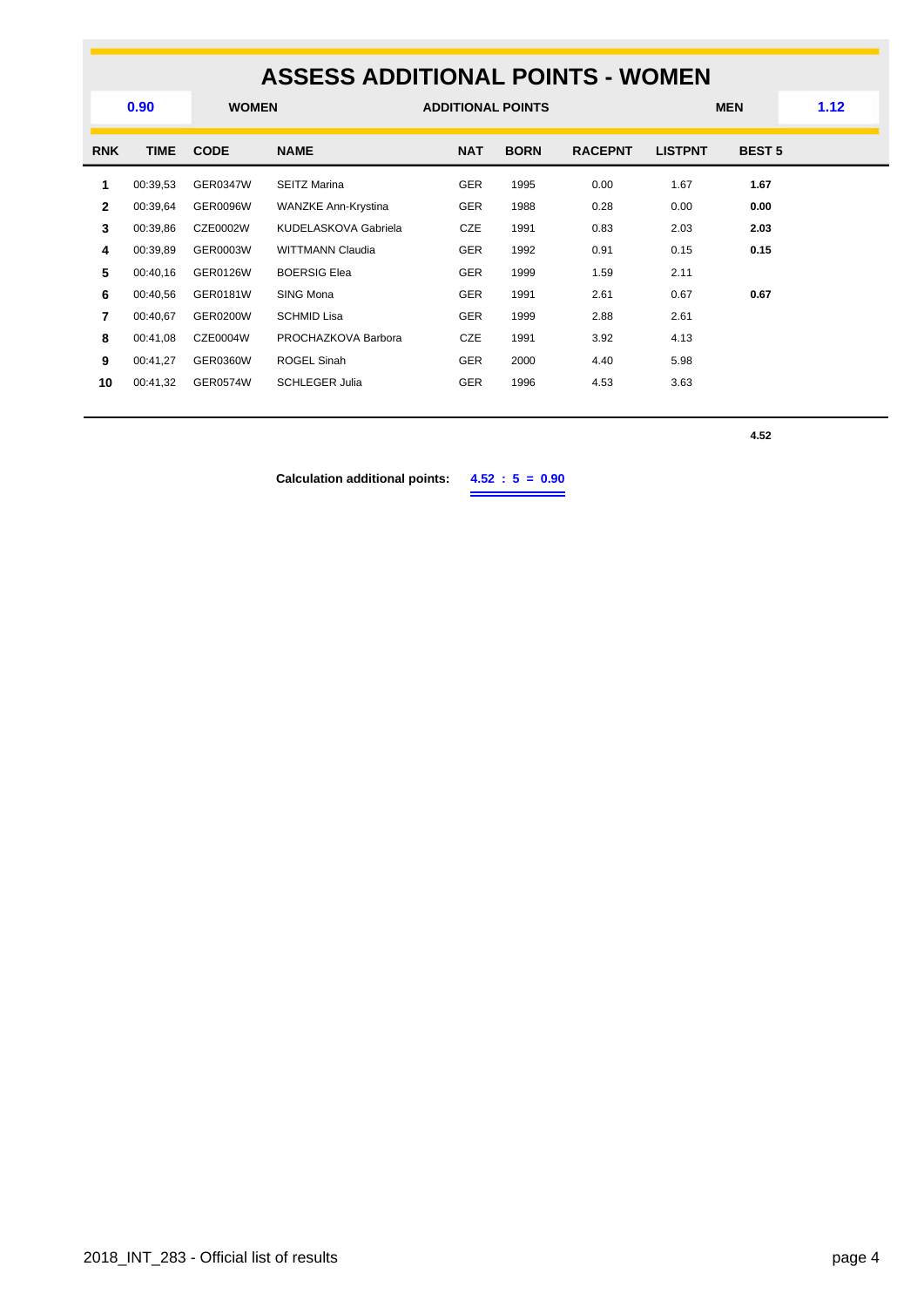## **ASSESS ADDITIONAL POINTS - WOMEN**

|              | 0.90<br><b>WOMEN</b> |                 | <b>ADDITIONAL POINTS</b>   |            |             |                | <b>MEN</b>     | 1.12          |  |
|--------------|----------------------|-----------------|----------------------------|------------|-------------|----------------|----------------|---------------|--|
| <b>RNK</b>   | <b>TIME</b>          | <b>CODE</b>     | <b>NAME</b>                | <b>NAT</b> | <b>BORN</b> | <b>RACEPNT</b> | <b>LISTPNT</b> | <b>BEST 5</b> |  |
| 1.           | 00:39.53             | <b>GER0347W</b> | <b>SEITZ Marina</b>        | <b>GER</b> | 1995        | 0.00           | 1.67           | 1.67          |  |
| $\mathbf{2}$ | 00:39,64             | <b>GER0096W</b> | <b>WANZKE Ann-Krystina</b> | <b>GER</b> | 1988        | 0.28           | 0.00           | 0.00          |  |
| 3            | 00:39,86             | CZE0002W        | KUDELASKOVA Gabriela       | CZE        | 1991        | 0.83           | 2.03           | 2.03          |  |
| 4            | 00:39,89             | GER0003W        | <b>WITTMANN Claudia</b>    | <b>GER</b> | 1992        | 0.91           | 0.15           | 0.15          |  |
| 5            | 00:40,16             | <b>GER0126W</b> | <b>BOERSIG Elea</b>        | <b>GER</b> | 1999        | 1.59           | 2.11           |               |  |
| 6            | 00:40.56             | GER0181W        | SING Mona                  | <b>GER</b> | 1991        | 2.61           | 0.67           | 0.67          |  |
| 7            | 00:40.67             | <b>GER0200W</b> | <b>SCHMID Lisa</b>         | <b>GER</b> | 1999        | 2.88           | 2.61           |               |  |
| 8            | 00:41,08             | CZE0004W        | PROCHAZKOVA Barbora        | CZE        | 1991        | 3.92           | 4.13           |               |  |
| 9            | 00:41,27             | <b>GER0360W</b> | ROGEL Sinah                | <b>GER</b> | 2000        | 4.40           | 5.98           |               |  |
| 10           | 00:41,32             | <b>GER0574W</b> | <b>SCHLEGER Julia</b>      | <b>GER</b> | 1996        | 4.53           | 3.63           |               |  |
|              |                      |                 |                            |            |             |                |                |               |  |

**4.52**

**Calculation additional points: 4.52 : 5 = 0.90**